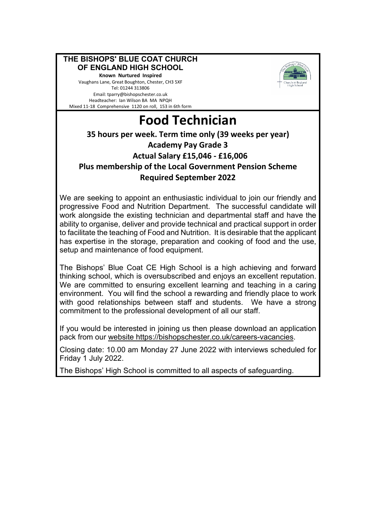#### **THE BISHOPS' BLUE COAT CHURCH OF ENGLAND HIGH SCHOOL Known Nurtured Inspired**

Vaughans Lane, Great Boughton, Chester, CH3 5XF Tel: 01244 313806 Email: tparry@bishopschester.co.uk Headteacher: Ian Wilson BA MA NPQH Mixed 11-18 Comprehensive 1120 on roll, 153 in 6th form



# **Food Technician**

### **35 hours per week. Term time only (39 weeks per year) Academy Pay Grade 3 Actual Salary £15,046 - £16,006 Plus membership of the Local Government Pension Scheme Required September 2022**

We are seeking to appoint an enthusiastic individual to join our friendly and progressive Food and Nutrition Department. The successful candidate will work alongside the existing technician and departmental staff and have the ability to organise, deliver and provide technical and practical support in order to facilitate the teaching of Food and Nutrition. It is desirable that the applicant has expertise in the storage, preparation and cooking of food and the use, setup and maintenance of food equipment.

The Bishops' Blue Coat CE High School is a high achieving and forward thinking school, which is oversubscribed and enjoys an excellent reputation. We are committed to ensuring excellent learning and teaching in a caring environment. You will find the school a rewarding and friendly place to work with good relationships between staff and students. We have a strong commitment to the professional development of all our staff.

If you would be interested in joining us then please download an application pack from our website https://bishopschester.co.uk/careers-vacancies.

Closing date: 10.00 am Monday 27 June 2022 with interviews scheduled for Friday 1 July 2022.

The Bishops' High School is committed to all aspects of safeguarding.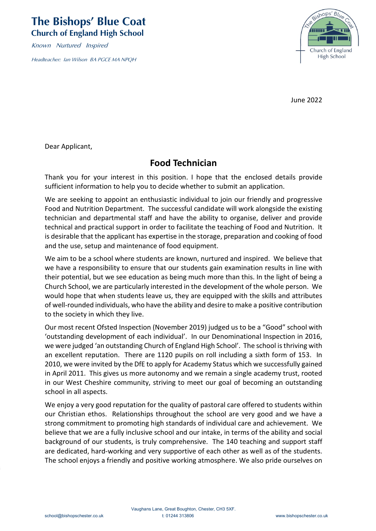## **The Bishops' Blue Coat Church of England High School**

Known Nurtured Inspired

Headteacher: Ian Wilson BA PGCE MA NPQH



June 2022

Dear Applicant,

## **Food Technician**

Thank you for your interest in this position. I hope that the enclosed details provide sufficient information to help you to decide whether to submit an application.

We are seeking to appoint an enthusiastic individual to join our friendly and progressive Food and Nutrition Department. The successful candidate will work alongside the existing technician and departmental staff and have the ability to organise, deliver and provide technical and practical support in order to facilitate the teaching of Food and Nutrition. It is desirable that the applicant has expertise in the storage, preparation and cooking of food and the use, setup and maintenance of food equipment.

We aim to be a school where students are known, nurtured and inspired. We believe that we have a responsibility to ensure that our students gain examination results in line with their potential, but we see education as being much more than this. In the light of being a Church School, we are particularly interested in the development of the whole person. We would hope that when students leave us, they are equipped with the skills and attributes of well-rounded individuals, who have the ability and desire to make a positive contribution to the society in which they live.

Our most recent Ofsted Inspection (November 2019) judged us to be a "Good" school with 'outstanding development of each individual'. In our Denominational Inspection in 2016, we were judged 'an outstanding Church of England High School'. The school is thriving with an excellent reputation. There are 1120 pupils on roll including a sixth form of 153. In 2010, we were invited by the DfE to apply for Academy Status which we successfully gained in April 2011. This gives us more autonomy and we remain a single academy trust, rooted in our West Cheshire community, striving to meet our goal of becoming an outstanding school in all aspects.

We enjoy a very good reputation for the quality of pastoral care offered to students within our Christian ethos. Relationships throughout the school are very good and we have a strong commitment to promoting high standards of individual care and achievement. We believe that we are a fully inclusive school and our intake, in terms of the ability and social background of our students, is truly comprehensive. The 140 teaching and support staff are dedicated, hard-working and very supportive of each other as well as of the students. The school enjoys a friendly and positive working atmosphere. We also pride ourselves on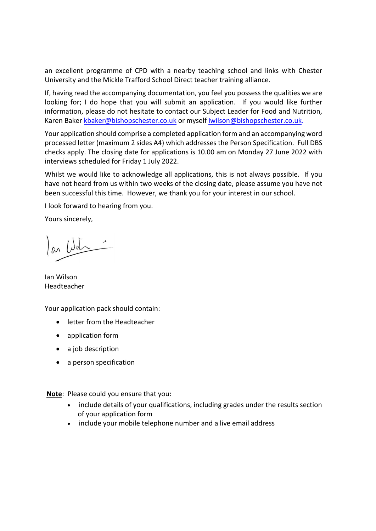an excellent programme of CPD with a nearby teaching school and links with Chester University and the Mickle Trafford School Direct teacher training alliance.

If, having read the accompanying documentation, you feel you possess the qualities we are looking for; I do hope that you will submit an application. If you would like further information, please do not hesitate to contact our Subject Leader for Food and Nutrition, Karen Baker [kbaker@bishopschester.co.uk](mailto:kbaker@bishopschester.co.uk) or myself [iwilson@bishopschester.co.uk](mailto:iwilson@bishopschester.co.uk).

Your application should comprise a completed application form and an accompanying word processed letter (maximum 2 sides A4) which addresses the Person Specification. Full DBS checks apply. The closing date for applications is 10.00 am on Monday 27 June 2022 with interviews scheduled for Friday 1 July 2022.

Whilst we would like to acknowledge all applications, this is not always possible. If you have not heard from us within two weeks of the closing date, please assume you have not been successful this time. However, we thank you for your interest in our school.

I look forward to hearing from you.

Yours sincerely,

la Wits

Ian Wilson Headteacher

Your application pack should contain:

- letter from the Headteacher
- application form
- a job description
- a person specification

**Note**: Please could you ensure that you:

- include details of your qualifications, including grades under the results section of your application form
- include your mobile telephone number and a live email address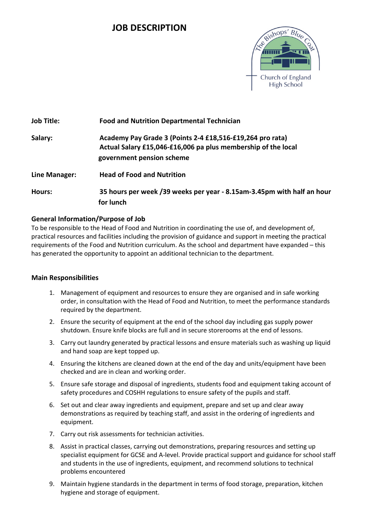## **JOB DESCRIPTION**



| <b>Job Title:</b> | <b>Food and Nutrition Departmental Technician</b>                                                                                                       |
|-------------------|---------------------------------------------------------------------------------------------------------------------------------------------------------|
| Salary:           | Academy Pay Grade 3 (Points 2-4 £18,516-£19,264 pro rata)<br>Actual Salary £15,046-£16,006 pa plus membership of the local<br>government pension scheme |
| Line Manager:     | <b>Head of Food and Nutrition</b>                                                                                                                       |
| Hours:            | 35 hours per week /39 weeks per year - 8.15am-3.45pm with half an hour<br>for lunch                                                                     |

#### **General Information/Purpose of Job**

To be responsible to the Head of Food and Nutrition in coordinating the use of, and development of, practical resources and facilities including the provision of guidance and support in meeting the practical requirements of the Food and Nutrition curriculum. As the school and department have expanded – this has generated the opportunity to appoint an additional technician to the department.

#### **Main Responsibilities**

- 1. Management of equipment and resources to ensure they are organised and in safe working order, in consultation with the Head of Food and Nutrition, to meet the performance standards required by the department.
- 2. Ensure the security of equipment at the end of the school day including gas supply power shutdown. Ensure knife blocks are full and in secure storerooms at the end of lessons.
- 3. Carry out laundry generated by practical lessons and ensure materials such as washing up liquid and hand soap are kept topped up.
- 4. Ensuring the kitchens are cleaned down at the end of the day and units/equipment have been checked and are in clean and working order.
- 5. Ensure safe storage and disposal of ingredients, students food and equipment taking account of safety procedures and COSHH regulations to ensure safety of the pupils and staff.
- 6. Set out and clear away ingredients and equipment, prepare and set up and clear away demonstrations as required by teaching staff, and assist in the ordering of ingredients and equipment.
- 7. Carry out risk assessments for technician activities.
- 8. Assist in practical classes, carrying out demonstrations, preparing resources and setting up specialist equipment for GCSE and A-level. Provide practical support and guidance for school staff and students in the use of ingredients, equipment, and recommend solutions to technical problems encountered
- 9. Maintain hygiene standards in the department in terms of food storage, preparation, kitchen hygiene and storage of equipment.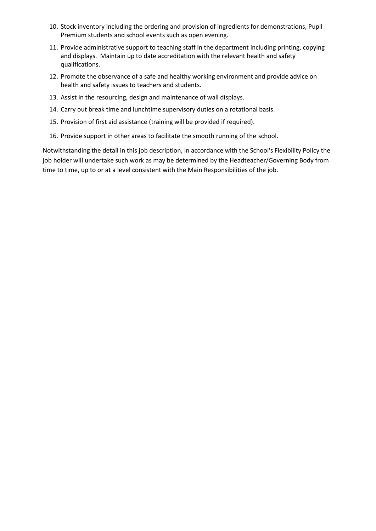- 10. Stock inventory including the ordering and provision of ingredients for demonstrations, Pupil Premium students and school events such as open evening.
- 11. Provide administrative support to teaching staff in the department including printing, copying and displays. Maintain up to date accreditation with the relevant health and safety qualifications.
- 12. Promote the observance of a safe and healthy working environment and provide advice on health and safety issues to teachers and students.
- 13. Assist in the resourcing, design and maintenance of wall displays.
- 14. Carry out break time and lunchtime supervisory duties on a rotational basis.
- 15. Provision of first aid assistance (training will be provided if required).
- 16. Provide support in other areas to facilitate the smooth running of the school.

Notwithstanding the detail in this job description, in accordance with the School's Flexibility Policy the job holder will undertake such work as may be determined by the Headteacher/Governing Body from time to time, up to or at a level consistent with the Main Responsibilities of the job.